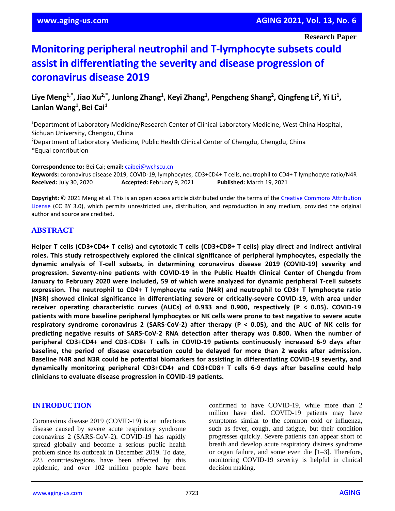**Research Paper**

# **Monitoring peripheral neutrophil and T-lymphocyte subsets could assist in differentiating the severity and disease progression of coronavirus disease 2019**

Liye Meng<sup>1,\*</sup>, Jiao Xu<sup>2,\*</sup>, Junlong Zhang<sup>1</sup>, Keyi Zhang<sup>1</sup>, Pengcheng Shang<sup>2</sup>, Qingfeng Li<sup>2</sup>, Yi Li<sup>1</sup>, **Lanlan Wang<sup>1</sup> ,Bei Cai<sup>1</sup>**

<sup>1</sup>Department of Laboratory Medicine/Research Center of Clinical Laboratory Medicine, West China Hospital, Sichuan University, Chengdu, China <sup>2</sup>Department of Laboratory Medicine, Public Health Clinical Center of Chengdu, Chengdu, China \*Equal contribution

**Correspondence to:** Bei Cai; **email:** [caibei@wchscu.cn](mailto:caibei@wchscu.cn)

**Keywords:** coronavirus disease 2019, COVID-19, lymphocytes, CD3+CD4+ T cells, neutrophil to CD4+ T lymphocyte ratio/N4R **Received:** July 30, 2020 **Accepted:** February 9, 2021 **Published:** March 19, 2021

**Copyright:** © 2021 Meng et al. This is an open access article distributed under the terms of th[e Creative Commons Attribution](https://creativecommons.org/licenses/by/3.0/)  [License](https://creativecommons.org/licenses/by/3.0/) (CC BY 3.0), which permits unrestricted use, distribution, and reproduction in any medium, provided the original author and source are credited.

### **ABSTRACT**

Helper T cells (CD3+CD4+ T cells) and cytotoxic T cells (CD3+CD8+ T cells) play direct and indirect antiviral **roles. This study retrospectively explored the clinical significance of peripheral lymphocytes, especially the dynamic analysis of T-cell subsets, in determining coronavirus disease 2019 (COVID-19) severity and progression. Seventy-nine patients with COVID-19 in the Public Health Clinical Center of Chengdu from January to February 2020 were included, 59 of which were analyzed for dynamic peripheral T-cell subsets expression. The neutrophil to CD4+ T lymphocyte ratio (N4R) and neutrophil to CD3+ T lymphocyte ratio (N3R) showed clinical significance in differentiating severe or critically-severe COVID-19, with area under receiver operating characteristic curves (AUCs) of 0.933 and 0.900, respectively (P < 0.05). COVID-19** patients with more baseline peripheral lymphocytes or NK cells were prone to test negative to severe acute **respiratory syndrome coronavirus 2 (SARS-CoV-2) after therapy (P < 0.05), and the AUC of NK cells for predicting negative results of SARS-CoV-2 RNA detection after therapy was 0.800. When the number of peripheral CD3+CD4+ and CD3+CD8+ T cells in COVID-19 patients continuously increased 6-9 days after baseline, the period of disease exacerbation could be delayed for more than 2 weeks after admission. Baseline N4R and N3R could be potential biomarkers for assisting in differentiating COVID-19 severity, and dynamically monitoring peripheral CD3+CD4+ and CD3+CD8+ T cells 6-9 days after baseline could help clinicians to evaluate disease progression in COVID-19 patients.**

#### **INTRODUCTION**

Coronavirus disease 2019 (COVID-19) is an infectious disease caused by severe acute respiratory syndrome coronavirus 2 (SARS-CoV-2). COVID-19 has rapidly spread globally and become a serious public health problem since its outbreak in December 2019. To date, 223 countries/regions have been affected by this epidemic, and over 102 million people have been confirmed to have COVID-19, while more than 2 million have died. COVID-19 patients may have symptoms similar to the common cold or influenza, such as fever, cough, and fatigue, but their condition progresses quickly. Severe patients can appear short of breath and develop acute respiratory distress syndrome or organ failure, and some even die [1–3]. Therefore, monitoring COVID-19 severity is helpful in clinical decision making.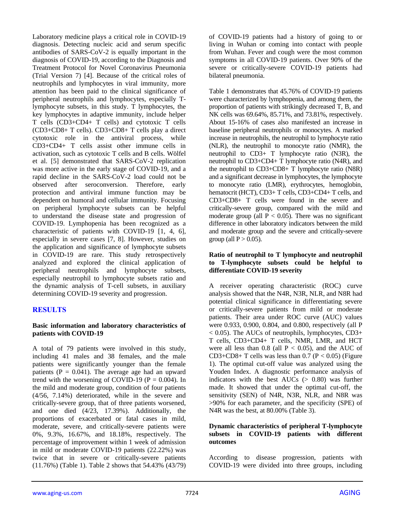Laboratory medicine plays a critical role in COVID-19 diagnosis. Detecting nucleic acid and serum specific antibodies of SARS-CoV-2 is equally important in the diagnosis of COVID-19, according to the Diagnosis and Treatment Protocol for Novel Coronavirus Pneumonia (Trial Version 7) [4]. Because of the critical roles of neutrophils and lymphocytes in viral immunity, more attention has been paid to the clinical significance of peripheral neutrophils and lymphocytes, especially Tlymphocyte subsets, in this study. T lymphocytes, the key lymphocytes in adaptive immunity, include helper T cells (CD3+CD4+ T cells) and cytotoxic T cells (CD3+CD8+ T cells). CD3+CD8+ T cells play a direct cytotoxic role in the antiviral process, while CD3+CD4+ T cells assist other immune cells in activation, such as cytotoxic T cells and B cells. Wölfel et al. [5] demonstrated that SARS-CoV-2 replication was more active in the early stage of COVID-19, and a rapid decline in the SARS-CoV-2 load could not be observed after seroconversion. Therefore, early protection and antiviral immune function may be dependent on humoral and cellular immunity. Focusing on peripheral lymphocyte subsets can be helpful to understand the disease state and progression of COVID-19. Lymphopenia has been recognized as a characteristic of patients with COVID-19 [1, 4, 6], especially in severe cases [7, 8]. However, studies on the application and significance of lymphocyte subsets in COVID-19 are rare. This study retrospectively analyzed and explored the clinical application of peripheral neutrophils and lymphocyte subsets, especially neutrophil to lymphocyte subsets ratio and the dynamic analysis of T-cell subsets, in auxiliary determining COVID-19 severity and progression.

# **RESULTS**

#### **Basic information and laboratory characteristics of patients with COVID-19**

A total of 79 patients were involved in this study, including 41 males and 38 females, and the male patients were significantly younger than the female patients ( $P = 0.041$ ). The average age had an upward trend with the worsening of COVID-19 ( $P = 0.004$ ). In the mild and moderate group, condition of four patients (4/56, 7.14%) deteriorated, while in the severe and critically-severe group, that of three patients worsened, and one died (4/23, 17.39%). Additionally, the proportions of exacerbated or fatal cases in mild, moderate, severe, and critically-severe patients were 0%, 9.3%, 16.67%, and 18.18%, respectively. The percentage of improvement within 1 week of admission in mild or moderate COVID-19 patients (22.22%) was twice that in severe or critically-severe patients (11.76%) (Table 1). Table 2 shows that 54.43% (43/79)

of COVID-19 patients had a history of going to or living in Wuhan or coming into contact with people from Wuhan. Fever and cough were the most common symptoms in all COVID-19 patients. Over 90% of the severe or critically-severe COVID-19 patients had bilateral pneumonia.

Table 1 demonstrates that 45.76% of COVID-19 patients were characterized by lymphopenia, and among them, the proportion of patients with strikingly decreased T, B, and NK cells was 69.64%, 85.71%, and 73.81%, respectively. About 15-16% of cases also manifested an increase in baseline peripheral neutrophils or monocytes. A marked increase in neutrophils, the neutrophil to lymphocyte ratio (NLR), the neutrophil to monocyte ratio (NMR), the neutrophil to CD3+ T lymphocyte ratio (N3R), the neutrophil to CD3+CD4+ T lymphocyte ratio (N4R), and the neutrophil to CD3+CD8+ T lymphocyte ratio (N8R) and a significant decrease in lymphocytes, the lymphocyte to monocyte ratio (LMR), erythrocytes, hemoglobin, hematocrit (HCT), CD3+ T cells, CD3+CD4+ T cells, and CD3+CD8+ T cells were found in the severe and critically-severe group, compared with the mild and moderate group (all  $P < 0.05$ ). There was no significant difference in other laboratory indicators between the mild and moderate group and the severe and critically-severe group (all  $P > 0.05$ ).

#### **Ratio of neutrophil to T lymphocyte and neutrophil to T-lymphocyte subsets could be helpful to differentiate COVID-19 severity**

A receiver operating characteristic (ROC) curve analysis showed that the N4R, N3R, NLR, and N8R had potential clinical significance in differentiating severe or critically-severe patients from mild or moderate patients. Their area under ROC curve (AUC) values were 0.933, 0.900, 0.804, and 0.800, respectively (all P < 0.05). The AUCs of neutrophils, lymphocytes, CD3+ T cells, CD3+CD4+ T cells, NMR, LMR, and HCT were all less than  $0.8$  (all  $P < 0.05$ ), and the AUC of  $CD3+CD8+T$  cells was less than 0.7 ( $P < 0.05$ ) (Figure 1). The optimal cut-off value was analyzed using the Youden Index. A diagnostic performance analysis of indicators with the best  $AUCs$  ( $> 0.80$ ) was further made. It showed that under the optimal cut-off, the sensitivity (SEN) of N4R, N3R, NLR, and N8R was >90% for each parameter, and the specificity (SPE) of N4R was the best, at 80.00% (Table 3).

#### **Dynamic characteristics of peripheral T-lymphocyte subsets in COVID-19 patients with different outcomes**

According to disease progression, patients with COVID-19 were divided into three groups, including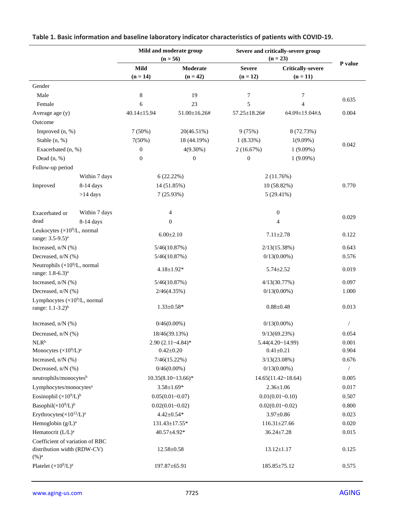|                                                                        |                    | Mild and moderate group<br>$(n = 56)$ |                        | Severe and critically-severe group<br>$(n = 23)$ |                                        |            |
|------------------------------------------------------------------------|--------------------|---------------------------------------|------------------------|--------------------------------------------------|----------------------------------------|------------|
|                                                                        |                    | Mild<br>$(n = 14)$                    | Moderate<br>$(n = 42)$ | <b>Severe</b><br>$(n = 12)$                      | <b>Critically-severe</b><br>$(n = 11)$ | P value    |
| Gender                                                                 |                    |                                       |                        |                                                  |                                        |            |
| Male                                                                   |                    | 8                                     | 19                     | 7                                                | 7                                      |            |
| Female                                                                 |                    | 6                                     | 23                     | 5                                                | 4                                      | 0.635      |
| Average age (y)                                                        |                    | 40.14±15.94                           | $51.00 \pm 16.26$ #    | 57.25±18.26#                                     | 64.09±15.04# $\Delta$                  | 0.004      |
| Outcome                                                                |                    |                                       |                        |                                                  |                                        |            |
| Improved (n, %)                                                        |                    | $7(50\%)$                             | 20(46.51%)             | 9(75%)                                           | 8 (72.73%)                             |            |
| Stable (n, %)                                                          |                    | 7(50%)                                | 18 (44.19%)            | $1(8.33\%)$                                      | $1(9.09\%)$                            |            |
| Exacerbated (n, %)                                                     |                    | $\boldsymbol{0}$                      | $4(9.30\%)$            | 2(16.67%)                                        | $1(9.09\%)$                            | 0.042      |
| Dead $(n, %)$                                                          |                    | $\boldsymbol{0}$                      | $\boldsymbol{0}$       | $\boldsymbol{0}$                                 | $1(9.09\%)$                            |            |
| Follow-up period                                                       |                    |                                       |                        |                                                  |                                        |            |
|                                                                        | Within 7 days      |                                       | 6(22.22%)              |                                                  | 2(11.76%)                              |            |
| Improved                                                               | 8-14 days          |                                       | 14 (51.85%)            |                                                  | 10 (58.82%)                            | 0.770      |
|                                                                        | $>14$ days         |                                       | 7(25.93%)              |                                                  | $5(29.41\%)$                           |            |
|                                                                        |                    |                                       |                        |                                                  |                                        |            |
| Exacerbated or                                                         | Within 7 days      |                                       | 4                      |                                                  | $\boldsymbol{0}$                       |            |
| dead                                                                   | 8-14 days          | $\overline{0}$                        |                        | 4                                                |                                        | 0.029      |
| Leukocytes ( $\times 10^9$ /L, normal                                  |                    |                                       |                        |                                                  |                                        |            |
| range: 3.5-9.5) <sup>a</sup>                                           |                    | $6.00 \pm 2.10$                       |                        | $7.11 \pm 2.78$                                  |                                        | 0.122      |
| Increased, n/N (%)                                                     |                    | 5/46(10.87%)                          |                        | 2/13(15.38%)                                     |                                        | 0.643      |
| Decreased, n/N (%)                                                     |                    | 5/46(10.87%)                          |                        | $0/13(0.00\%)$                                   |                                        | 0.576      |
| Neutrophils $(\times 10^9/L,$ normal<br>range: 1.8-6.3) <sup>a</sup>   |                    | $4.18 \pm 1.92*$                      |                        | $5.74 \pm 2.52$                                  |                                        | 0.019      |
| Increased, n/N (%)                                                     |                    | 5/46(10.87%)                          |                        | 4/13(30.77%)                                     |                                        | 0.097      |
|                                                                        | Decreased, n/N (%) |                                       | 2/46(4.35%)            |                                                  | $0/13(0.00\%)$                         |            |
| Lymphocytes $(\times 10^9$ /L, normal<br>range: $1.1-3.2$ <sup>b</sup> |                    | $1.33 \pm 0.58*$                      |                        | $0.88 \pm 0.48$                                  |                                        | 0.013      |
| Increased, $n/N$ (%)                                                   |                    | $0/46(0.00\%)$                        |                        | $0/13(0.00\%)$                                   |                                        |            |
| Decreased, n/N (%)                                                     |                    | 18/46(39.13%)                         |                        | 9/13(69.23%)                                     |                                        | 0.054      |
| NLR <sup>b</sup>                                                       |                    | $2.90(2.11-4.84)$ *                   |                        | 5.44(4.20~14.99)                                 |                                        | 0.001      |
| Monocytes $(\times 10^9/L)^a$                                          |                    | $0.42 \pm 0.20$                       |                        | $0.41 \pm 0.21$                                  |                                        | 0.904      |
| Increased, n/N (%)                                                     |                    | $7/46(15.22\%)$                       |                        | 3/13(23.08%)                                     |                                        | 0.676      |
| Decreased, n/N (%)                                                     |                    | $0/46(0.00\%)$                        |                        | $0/13(0.00\%)$                                   |                                        | $\sqrt{2}$ |
| neutrophils/monocytes <sup>b</sup>                                     |                    | $10.35(8.10~13.66)$ *                 |                        | $14.65(11.42 \times 18.64)$                      |                                        | 0.005      |
| Lymphocytes/monocytes <sup>a</sup>                                     |                    | $3.58 \pm 1.69*$                      |                        | $2.36 \pm 1.06$                                  |                                        | 0.017      |
| Eosinophil $(\times 10^9/L)^b$                                         |                    | $0.05(0.01 - 0.07)$                   |                        | $0.01(0.01 - 0.10)$                              |                                        | 0.507      |
| Basophil $(\times 10^9/L)^b$                                           |                    | $0.02(0.01 - 0.02)$                   |                        | $0.02(0.01 - 0.02)$                              |                                        | 0.800      |
| Erythrocytes( $\times 10^{12}/L$ ) <sup>a</sup>                        |                    | $4.42 \pm 0.54*$                      |                        | $3.97 \pm 0.86$                                  |                                        | 0.023      |
| Hemoglobin $(g/L)^a$                                                   |                    | 131.43±17.55*                         |                        | $116.31 \pm 27.66$                               |                                        | 0.020      |
| Hematocrit (L/L) <sup>a</sup>                                          |                    | 40.57±4.92*                           |                        | $36.24 \pm 7.28$                                 |                                        | 0.015      |
| Coefficient of variation of RBC<br>distribution width (RDW-CV)         |                    | $12.58 \pm 0.58$                      |                        | $13.12 \pm 1.17$                                 |                                        | 0.125      |
| $(\%)^a$<br>Platelet $(\times 10^9/L)^a$                               |                    | 197.87±65.91                          |                        | $185.85 \pm 75.12$                               |                                        | 0.575      |

# **Table 1. Basic information and baseline laboratory indicator characteristics of patients with COVID-19.**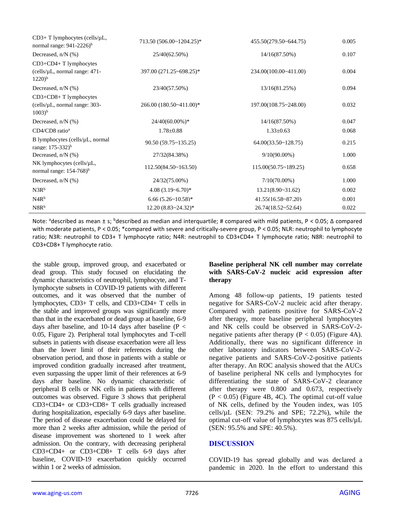| $CD3+T$ lymphocytes (cells/ $\mu$ L,<br>normal range: 941-2226) <sup>b</sup>          | 713.50 (506.00~1204.25)*     | 455.50(279.50~644.75)         | 0.005 |
|---------------------------------------------------------------------------------------|------------------------------|-------------------------------|-------|
| Decreased, $n/N$ (%)                                                                  | 25/40(62.50%)                | 14/16(87.50%)                 | 0.107 |
| $CD3+CD4+T1$ ymphocytes                                                               |                              |                               |       |
| (cells/ $\mu$ L, normal range: 471-<br>$1220$ <sup>b</sup>                            | 397.00 (271.25~698.25)*      | 234.00(100.00~411.00)         | 0.004 |
| Decreased, $n/N$ (%)                                                                  | 23/40(57.50%)                | 13/16(81.25%)                 | 0.094 |
| $CD3+CD8+T1$ ymphocytes<br>(cells/ $\mu$ L, normal range: 303-<br>$1003$ <sup>b</sup> | 266.00 (180.50~411.00)*      | 197.00(108.75~248.00)         | 0.032 |
| Decreased, $n/N$ (%)                                                                  | $24/40(60.00\%)*$            | $14/16(87.50\%)$              | 0.047 |
| CD4/CD8 ratio <sup>a</sup>                                                            | $1.78 \pm 0.88$              | $1.33 \pm 0.63$               | 0.068 |
| B lymphocytes (cells/µL, normal<br>range: 175-332) <sup>b</sup>                       | 90.50 (59.75~135.25)         | 64.00(33.50~128.75)           | 0.215 |
| Decreased, $n/N$ (%)                                                                  | 27/32(84.38%)                | $9/10(90.00\%)$               | 1.000 |
| NK lymphocytes (cells/µL,<br>normal range: $154-768$ <sup>b</sup>                     | 112.50(84.50~163.50)         | $115.00(50.75 \times 189.25)$ | 0.658 |
| Decreased, $n/N$ (%)                                                                  | 24/32(75.00%)                | $7/10(70.00\%)$               | 1.000 |
| N3R <sup>b</sup>                                                                      | $4.08(3.19-6.70)$ *          | $13.21(8.90-31.62)$           | 0.002 |
| N4R <sup>b</sup>                                                                      | 6.66 $(5.26 \times 10.58)^*$ | $41.55(16.58 \times 87.20)$   | 0.001 |
| N8R <sup>b</sup>                                                                      | $12.20(8.83 \times 24.32)^*$ | $26.74(18.52 \times 52.64)$   | 0.022 |

Note: <sup>a</sup>described as mean ± s; <sup>b</sup>described as median and interquartile; # compared with mild patients, P < 0.05;  $\Delta$  compared with moderate patients, P < 0.05; \*compared with severe and critically-severe group, P < 0.05; NLR: neutrophil to lymphocyte ratio; N3R: neutrophil to CD3+ T lymphocyte ratio; N4R: neutrophil to CD3+CD4+ T lymphocyte ratio; N8R: neutrophil to CD3+CD8+ T lymphocyte ratio.

the stable group, improved group, and exacerbated or dead group. This study focused on elucidating the dynamic characteristics of neutrophil, lymphocyte, and Tlymphocyte subsets in COVID-19 patients with different outcomes, and it was observed that the number of lymphocytes, CD3+ T cells, and CD3+CD4+ T cells in the stable and improved groups was significantly more than that in the exacerbated or dead group at baseline, 6-9 days after baseline, and 10-14 days after baseline ( $P <$ 0.05, Figure 2). Peripheral total lymphocytes and T-cell subsets in patients with disease exacerbation were all less than the lower limit of their references during the observation period, and those in patients with a stable or improved condition gradually increased after treatment, even surpassing the upper limit of their references at 6-9 days after baseline. No dynamic characteristic of peripheral B cells or NK cells in patients with different outcomes was observed. Figure 3 shows that peripheral CD3+CD4+ or CD3+CD8+ T cells gradually increased during hospitalization, especially 6-9 days after baseline. The period of disease exacerbation could be delayed for more than 2 weeks after admission, while the period of disease improvement was shortened to 1 week after admission. On the contrary, with decreasing peripheral CD3+CD4+ or CD3+CD8+ T cells 6-9 days after baseline, COVID-19 exacerbation quickly occurred within 1 or 2 weeks of admission.

#### **Baseline peripheral NK cell number may correlate with SARS-CoV-2 nucleic acid expression after therapy**

Among 48 follow-up patients, 19 patients tested negative for SARS-CoV-2 nucleic acid after therapy. Compared with patients positive for SARS-CoV-2 after therapy, more baseline peripheral lymphocytes and NK cells could be observed in SARS-CoV-2 negative patients after therapy  $(P < 0.05)$  (Figure 4A). Additionally, there was no significant difference in other laboratory indicators between SARS-CoV-2 negative patients and SARS-CoV-2-positive patients after therapy. An ROC analysis showed that the AUCs of baseline peripheral NK cells and lymphocytes for differentiating the state of SARS-CoV-2 clearance after therapy were 0.800 and 0.673, respectively  $(P < 0.05)$  (Figure 4B, 4C). The optimal cut-off value of NK cells, defined by the Youden index, was 105 cells/ $\mu$ L (SEN: 79.2% and SPE; 72.2%), while the optimal cut-off value of lymphocytes was 875 cells/µL (SEN: 95.5% and SPE: 40.5%).

# **DISCUSSION**

COVID-19 has spread globally and was declared a pandemic in 2020. In the effort to understand this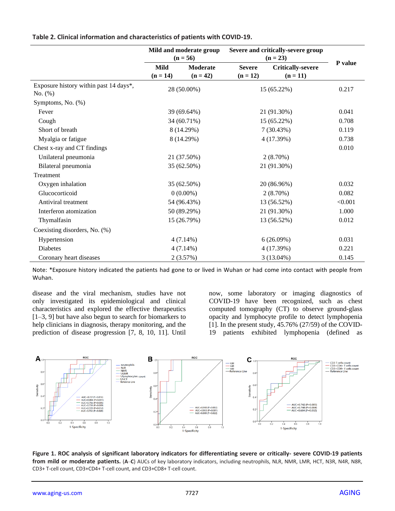|                                                   | Mild and moderate group<br>$(n = 56)$ |                 | Severe and critically-severe group<br>$(n = 23)$ |                          |         |
|---------------------------------------------------|---------------------------------------|-----------------|--------------------------------------------------|--------------------------|---------|
|                                                   | Mild                                  | <b>Moderate</b> | <b>Severe</b>                                    | <b>Critically-severe</b> | P value |
|                                                   | $(n = 14)$                            | $(n = 42)$      | $(n = 12)$                                       | $(n = 11)$               |         |
| Exposure history within past 14 days*,<br>No. (%) | 28 (50.00%)                           |                 | 15 (65.22%)                                      |                          | 0.217   |
| Symptoms, No. (%)                                 |                                       |                 |                                                  |                          |         |
| Fever                                             |                                       | 39 (69.64%)     |                                                  | 21 (91.30%)              | 0.041   |
| Cough                                             | 34 (60.71%)                           |                 | 15 (65.22%)                                      |                          | 0.708   |
| Short of breath                                   |                                       | 8 (14.29%)      |                                                  | 7(30.43%)                | 0.119   |
| Myalgia or fatigue                                |                                       | 8 (14.29%)      |                                                  | 4 (17.39%)               | 0.738   |
| Chest x-ray and CT findings                       |                                       |                 |                                                  |                          | 0.010   |
| Unilateral pneumonia                              |                                       | 21 (37.50%)     |                                                  | $2(8.70\%)$              |         |
| Bilateral pneumonia                               |                                       | 35 (62.50%)     |                                                  | 21 (91.30%)              |         |
| Treatment                                         |                                       |                 |                                                  |                          |         |
| Oxygen inhalation                                 |                                       | 35 (62.50%)     |                                                  | 20 (86.96%)              | 0.032   |
| Glucocorticoid                                    |                                       | $0(0.00\%)$     |                                                  | $2(8.70\%)$              | 0.082   |
| Antiviral treatment                               |                                       | 54 (96.43%)     |                                                  | 13 (56.52%)              | < 0.001 |
| Interferon atomization                            |                                       | 50 (89.29%)     |                                                  | 21 (91.30%)              | 1.000   |
| Thymalfasin                                       |                                       | 15 (26.79%)     |                                                  | 13 (56.52%)              | 0.012   |
| Coexisting disorders, No. (%)                     |                                       |                 |                                                  |                          |         |
| Hypertension                                      |                                       | $4(7.14\%)$     |                                                  | 6(26.09%)                | 0.031   |
| Diabetes                                          |                                       | $4(7.14\%)$     |                                                  | 4 (17.39%)               | 0.221   |
| Coronary heart diseases                           |                                       | 2(3.57%)        |                                                  | 3 (13.04%)               | 0.145   |

**Table 2. Clinical information and characteristics of patients with COVID-19.**

Note: \*Exposure history indicated the patients had gone to or lived in Wuhan or had come into contact with people from Wuhan.

disease and the viral mechanism, studies have not only investigated its epidemiological and clinical characteristics and explored the effective therapeutics [1–3, 9] but have also begun to search for biomarkers to help clinicians in diagnosis, therapy monitoring, and the prediction of disease progression [7, 8, 10, 11]. Until now, some laboratory or imaging diagnostics of COVID-19 have been recognized, such as chest computed tomography (CT) to observe ground-glass opacity and lymphocyte profile to detect lymphopenia [1]. In the present study, 45.76% (27/59) of the COVID-19 patients exhibited lymphopenia (defined as



**Figure 1. ROC analysis of significant laboratory indicators for differentiating severe or critically- severe COVID-19 patients from mild or moderate patients.** (**A**–**C**) AUCs of key laboratory indicators, including neutrophils, NLR, NMR, LMR, HCT, N3R, N4R, N8R, CD3+ T-cell count, CD3+CD4+ T-cell count, and CD3+CD8+ T-cell count.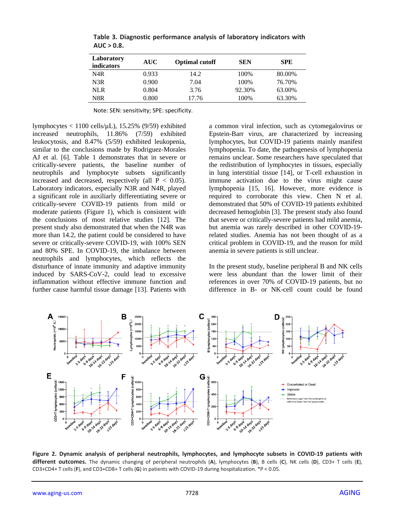| Laboratory<br><i>indicators</i> | <b>AUC</b> | <b>Optimal cutoff</b> | <b>SEN</b> | <b>SPE</b> |
|---------------------------------|------------|-----------------------|------------|------------|
| N4R                             | 0.933      | 14.2                  | 100%       | 80.00%     |
| N3R                             | 0.900      | 7.04                  | 100%       | 76.70%     |
| <b>NLR</b>                      | 0.804      | 3.76                  | 92.30%     | 63.00%     |
| N8R                             | 0.800      | 17.76                 | 100%       | 63.30%     |

**Table 3. Diagnostic performance analysis of laboratory indicators with AUC > 0.8.**

Note: SEN: sensitivity; SPE: specificity.

lymphocytes < 1100 cells/µL), 15.25% (9/59) exhibited increased neutrophils, 11.86% (7/59) exhibited leukocytosis, and 8.47% (5/59) exhibited leukopenia, similar to the conclusions made by Rodriguez-Morales AJ et al. [6]. Table 1 demonstrates that in severe or critically-severe patients, the baseline number of neutrophils and lymphocyte subsets significantly increased and decreased, respectively (all  $P < 0.05$ ). Laboratory indicators, especially N3R and N4R, played a significant role in auxiliarly differentiating severe or critically-severe COVID-19 patients from mild or moderate patients (Figure 1), which is consistent with the conclusions of most relative studies [12]. The present study also demonstrated that when the N4R was more than 14.2, the patient could be considered to have severe or critically-severe COVID-19, with 100% SEN and 80% SPE. In COVID-19, the imbalance between neutrophils and lymphocytes, which reflects the disturbance of innate immunity and adaptive immunity induced by SARS-CoV-2, could lead to excessive inflammation without effective immune function and further cause harmful tissue damage [13]. Patients with a common viral infection, such as cytomegalovirus or Epstein-Barr virus, are characterized by increasing lymphocytes, but COVID-19 patients mainly manifest lymphopenia. To date, the pathogenesis of lymphopenia remains unclear. Some researchers have speculated that the redistribution of lymphocytes in tissues, especially in lung interstitial tissue [14], or T-cell exhaustion in immune activation due to the virus might cause lymphopenia [15, 16]. However, more evidence is required to corroborate this view. Chen N et al. demonstrated that 50% of COVID-19 patients exhibited decreased hemoglobin [3]. The present study also found that severe or critically-severe patients had mild anemia, but anemia was rarely described in other COVID-19 related studies. Anemia has not been thought of as a critical problem in COVID-19, and the reason for mild anemia in severe patients is still unclear.

In the present study, baseline peripheral B and NK cells were less abundant than the lower limit of their references in over 70% of COVID-19 patients, but no difference in B- or NK-cell count could be found



**Figure 2. Dynamic analysis of peripheral neutrophils, lymphocytes, and lymphocyte subsets in COVID-19 patients with different outcomes.** The dynamic changing of peripheral neutrophils (**A**), lymphocytes (**B**), B cells (**C**), NK cells (**D**), CD3+ T cells (**E**), CD3+CD4+ T cells (**F**), and CD3+CD8+ T cells (**G**) in patients with COVID-19 during hospitalization. \*P < 0.05.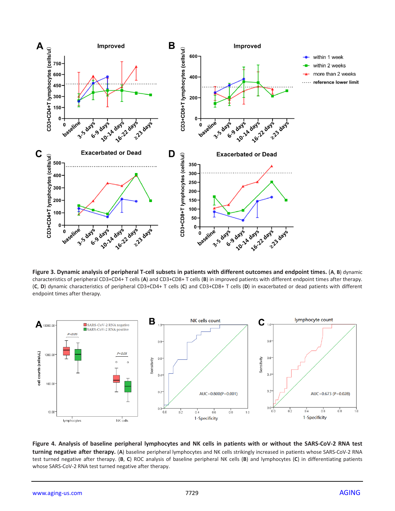

**Figure 3. Dynamic analysis of peripheral T-cell subsets in patients with different outcomes and endpoint times.** (**A**, **B**) dynamic characteristics of peripheral CD3+CD4+ T cells (**A**) and CD3+CD8+ T cells (**B**) in improved patients with different endpoint times after therapy. (**C**, **D**) dynamic characteristics of peripheral CD3+CD4+ T cells (**C**) and CD3+CD8+ T cells (**D**) in exacerbated or dead patients with different endpoint times after therapy.



**Figure 4. Analysis of baseline peripheral lymphocytes and NK cells in patients with or without the SARS-CoV-2 RNA test turning negative after therapy.** (**A**) baseline peripheral lymphocytes and NK cells strikingly increased in patients whose SARS-CoV-2 RNA test turned negative after therapy. (**B**, **C**) ROC analysis of baseline peripheral NK cells (**B**) and lymphocytes (**C**) in differentiating patients whose SARS-CoV-2 RNA test turned negative after therapy.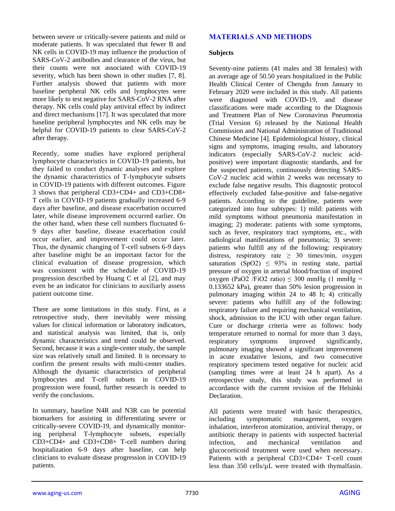between severe or critically-severe patients and mild or moderate patients. It was speculated that fewer B and NK cells in COVID-19 may influence the production of SARS-CoV-2 antibodies and clearance of the virus, but their counts were not associated with COVID-19 severity, which has been shown in other studies [7, 8]. Further analysis showed that patients with more baseline peripheral NK cells and lymphocytes were more likely to test negative for SARS-CoV-2 RNA after therapy. NK cells could play antiviral effect by indirect and direct mechanisms [17]. It was speculated that more baseline peripheral lymphocytes and NK cells may be helpful for COVID-19 patients to clear SARS-CoV-2 after therapy.

Recently, some studies have explored peripheral lymphocyte characteristics in COVID-19 patients, but they failed to conduct dynamic analyses and explore the dynamic characteristics of T-lymphocyte subsets in COVID-19 patients with different outcomes. Figure 3 shows that peripheral CD3+CD4+ and CD3+CD8+ T cells in COVID-19 patients gradually increased 6-9 days after baseline, and disease exacerbation occurred later, while disease improvement occurred earlier. On the other hand, when these cell numbers fluctuated 6- 9 days after baseline, disease exacerbation could occur earlier, and improvement could occur later. Thus, the dynamic changing of T-cell subsets 6-9 days after baseline might be an important factor for the clinical evaluation of disease progression, which was consistent with the schedule of COVID-19 progression described by Huang C et al [2], and may even be an indicator for clinicians to auxiliarly assess patient outcome time.

There are some limitations in this study. First, as a retrospective study, there inevitably were missing values for clinical information or laboratory indicators, and statistical analysis was limited, that is, only dynamic characteristics and trend could be observed. Second, because it was a single-center study, the sample size was relatively small and limited. It is necessary to confirm the present results with multi-center studies. Although the dynamic characteristics of peripheral lymphocytes and T-cell subsets in COVID-19 progression were found, further research is needed to verify the conclusions.

In summary, baseline N4R and N3R can be potential biomarkers for assisting in differentiating severe or critically-severe COVID-19, and dynamically monitoring peripheral T-lymphocyte subsets, especially CD3+CD4+ and CD3+CD8+ T-cell numbers during hospitalization 6-9 days after baseline, can help clinicians to evaluate disease progression in COVID-19 patients.

# **MATERIALS AND METHODS**

#### **Subjects**

Seventy-nine patients (41 males and 38 females) with an average age of 50.50 years hospitalized in the Public Health Clinical Center of Chengdu from January to February 2020 were included in this study. All patients were diagnosed with COVID-19, and disease classifications were made according to the Diagnosis and Treatment Plan of New Coronavirus Pneumonia (Trial Version 6) released by the National Health Commission and National Administration of Traditional Chinese Medicine [4]. Epidemiological history, clinical signs and symptoms, imaging results, and laboratory indicators (especially SARS-CoV-2 nucleic acidpositive) were important diagnostic standards, and for the suspected patients, continuously detecting SARS-CoV-2 nucleic acid within 2 weeks was necessary to exclude false negative results. This diagnostic protocol effectively excluded false-positive and false-negative patients. According to the guideline, patients were categorized into four subtypes: 1) mild: patients with mild symptoms without pneumonia manifestation in imaging; 2) moderate: patients with some symptoms, such as fever, respiratory tract symptoms, etc., with radiological manifestations of pneumonia; 3) severe: patients who fulfill any of the following: respiratory distress, respiratory rate  $\geq 30$  times/min, oxygen saturation (SpO2)  $\leq$  93% in resting state, partial pressure of oxygen in arterial blood/fraction of inspired oxygen (PaO2 /FiO2 ratio)  $\leq$  300 mmHg (1 mmHg = 0.133652 kPa), greater than 50% lesion progression in pulmonary imaging within 24 to 48 h; 4) critically severe: patients who fulfill any of the following: respiratory failure and requiring mechanical ventilation, shock, admission to the ICU with other organ failure. Cure or discharge criteria were as follows: body temperature returned to normal for more than 3 days, respiratory symptoms improved significantly, pulmonary imaging showed a significant improvement in acute exudative lesions, and two consecutive respiratory specimens tested negative for nucleic acid (sampling times were at least 24 h apart). As a retrospective study, this study was performed in accordance with the current revision of the Helsinki **Declaration** 

All patients were treated with basic therapeutics, including symptomatic management, oxygen inhalation, interferon atomization, antiviral therapy, or antibiotic therapy in patients with suspected bacterial infection, and mechanical ventilation and glucocorticoid treatment were used when necessary. Patients with a peripheral CD3+CD4+ T-cell count less than 350 cells/µL were treated with thymalfasin.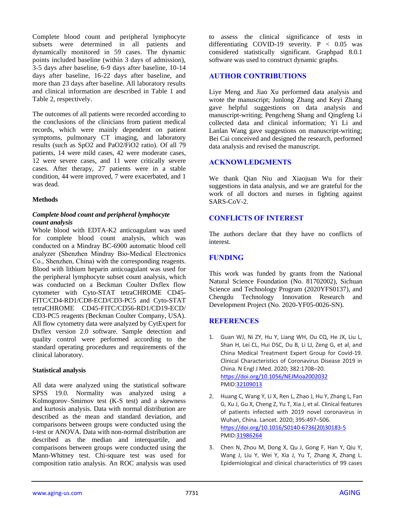Complete blood count and peripheral lymphocyte subsets were determined in all patients and dynamically monitored in 59 cases. The dynamic points included baseline (within 3 days of admission), 3-5 days after baseline, 6-9 days after baseline, 10-14 days after baseline, 16-22 days after baseline, and more than 23 days after baseline. All laboratory results and clinical information are described in Table 1 and Table 2, respectively.

The outcomes of all patients were recorded according to the conclusions of the clinicians from patient medical records, which were mainly dependent on patient symptoms, pulmonary CT imaging, and laboratory results (such as SpO2 and PaO2/FiO2 ratio). Of all 79 patients, 14 were mild cases, 42 were moderate cases, 12 were severe cases, and 11 were critically severe cases. After therapy, 27 patients were in a stable condition, 44 were improved, 7 were exacerbated, and 1 was dead.

#### **Methods**

#### *Complete blood count and peripheral lymphocyte count analysis*

Whole blood with EDTA-K2 anticoagulant was used for complete blood count analysis, which was conducted on a Mindray BC-6900 automatic blood cell analyzer (Shenzhen Mindray Bio-Medical Electronics Co., Shenzhen, China) with the corresponding reagents. Blood with lithium heparin anticoagulant was used for the peripheral lymphocyte subset count analysis, which was conducted on a Beckman Coulter Dxflex flow cytometer with Cyto-STAT tetraCHROME CD45- FITC/CD4-RD1/CD8-ECD/CD3-PC5 and Cyto-STAT tetraCHROME CD45-FITC/CD56-RD1/CD19-ECD/ CD3-PC5 reagents (Beckman Coulter Company, USA). All flow cytometry data were analyzed by CytExpert for Dxflex version 2.0 software. Sample detection and quality control were performed according to the standard operating procedures and requirements of the clinical laboratory.

#### **Statistical analysis**

All data were analyzed using the statistical software SPSS 19.0. Normality was analyzed using a Kolmogorov–Smirnov test (K-S test) and a skewness and kurtosis analysis. Data with normal distribution are described as the mean and standard deviation, and comparisons between groups were conducted using the t-test or ANOVA. Data with non-normal distribution are described as the median and interquartile, and comparisons between groups were conducted using the Mann-Whitney test. Chi-square test was used for composition ratio analysis. An ROC analysis was used

to assess the clinical significance of tests in differentiating COVID-19 severity.  $P < 0.05$  was considered statistically significant. Graphpad 8.0.1 software was used to construct dynamic graphs.

# **AUTHOR CONTRIBUTIONS**

Liye Meng and Jiao Xu performed data analysis and wrote the manuscript; Junlong Zhang and Keyi Zhang gave helpful suggestions on data analysis and manuscript-writing; Pengcheng Shang and Qingfeng Li collected data and clinical information; Yi Li and Lanlan Wang gave suggestions on manuscript-writing; Bei Cai conceived and designed the research, performed data analysis and revised the manuscript.

# **ACKNOWLEDGMENTS**

We thank Qian Niu and Xiaojuan Wu for their suggestions in data analysis, and we are grateful for the work of all doctors and nurses in fighting against SARS-CoV-2.

# **CONFLICTS OF INTEREST**

The authors declare that they have no conflicts of interest.

# **FUNDING**

This work was funded by grants from the National Natural Science Foundation (No. 81702002), Sichuan Science and Technology Program (2020YFS0137), and Chengdu Technology Innovation Research and Development Project (No. 2020-YF05-0026-SN).

# **REFERENCES**

- 1. Guan WJ, Ni ZY, Hu Y, Liang WH, Ou CQ, He JX, Liu L, Shan H, Lei CL, Hui DSC, Du B, Li LJ, Zeng G, et al, and China Medical Treatment Expert Group for Covid-19. Clinical Characteristics of Coronavirus Disease 2019 in China. N Engl J Med. 2020; 382:1708–20. <https://doi.org/10.1056/NEJMoa2002032> PMI[D:32109013](https://pubmed.ncbi.nlm.nih.gov/32109013)
- 2. Huang C, Wang Y, Li X, Ren L, Zhao J, Hu Y, Zhang L, Fan G, Xu J, Gu X, Cheng Z, Yu T, Xia J, et al. Clinical features of patients infected with 2019 novel coronavirus in Wuhan, China. Lancet. 2020; 395:497–506. [https://doi.org/10.1016/S0140-6736\(20\)30183-5](https://doi.org/10.1016/S0140-6736(20)30183-5) PMI[D:31986264](https://pubmed.ncbi.nlm.nih.gov/31986264)
- 3. Chen N, Zhou M, Dong X, Qu J, Gong F, Han Y, Qiu Y, Wang J, Liu Y, Wei Y, Xia J, Yu T, Zhang X, Zhang L. Epidemiological and clinical characteristics of 99 cases